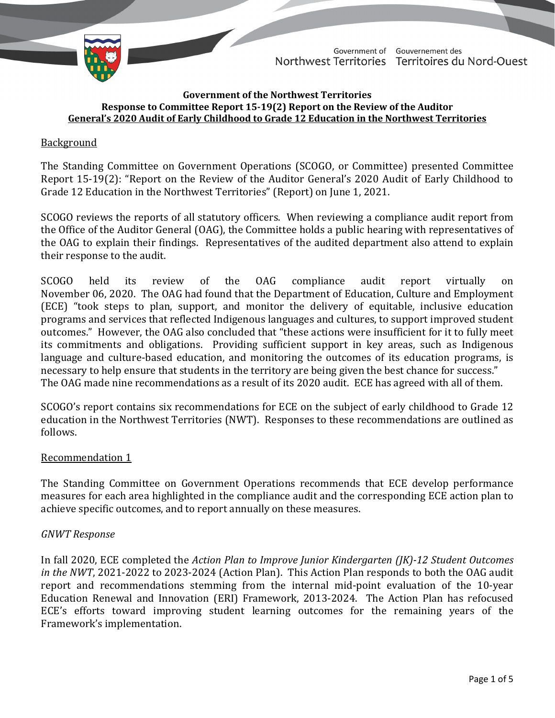TD 452-19(2) TABLED ON NOVEMBER 22, 2021



Government of Gouvernement des Northwest Territories Territoires du Nord-Ouest

#### **Government of the Northwest Territories Response to Committee Report 15-19(2) Report on the Review of the Auditor General's 2020 Audit of Early Childhood to Grade 12 Education in the Northwest Territories**

# Background

The Standing Committee on Government Operations (SCOGO, or Committee) presented Committee Report 15-19(2): "Report on the Review of the Auditor General's 2020 Audit of Early Childhood to Grade 12 Education in the Northwest Territories" (Report) on June 1, 2021.

SCOGO reviews the reports of all statutory officers. When reviewing a compliance audit report from the Office of the Auditor General (OAG), the Committee holds a public hearing with representatives of the OAG to explain their findings. Representatives of the audited department also attend to explain their response to the audit.

SCOGO held its review of the OAG compliance audit report virtually on November 06, 2020. The OAG had found that the Department of Education, Culture and Employment (ECE) "took steps to plan, support, and monitor the delivery of equitable, inclusive education programs and services that reflected Indigenous languages and cultures, to support improved student outcomes." However, the OAG also concluded that "these actions were insufficient for it to fully meet its commitments and obligations. Providing sufficient support in key areas, such as Indigenous language and culture-based education, and monitoring the outcomes of its education programs, is necessary to help ensure that students in the territory are being given the best chance for success." The OAG made nine recommendations as a result of its 2020 audit. ECE has agreed with all of them.

SCOGO's report contains six recommendations for ECE on the subject of early childhood to Grade 12 education in the Northwest Territories (NWT). Responses to these recommendations are outlined as follows.

# Recommendation 1

The Standing Committee on Government Operations recommends that ECE develop performance measures for each area highlighted in the compliance audit and the corresponding ECE action plan to achieve specific outcomes, and to report annually on these measures.

# *GNWT Response*

In fall 2020, ECE completed the *Action Plan to Improve Junior Kindergarten (JK)-12 Student Outcomes in the NWT*, 2021-2022 to 2023-2024 (Action Plan). This Action Plan responds to both the OAG audit report and recommendations stemming from the internal mid-point evaluation of the 10-year Education Renewal and Innovation (ERI) Framework, 2013-2024. The Action Plan has refocused ECE's efforts toward improving student learning outcomes for the remaining years of the Framework's implementation.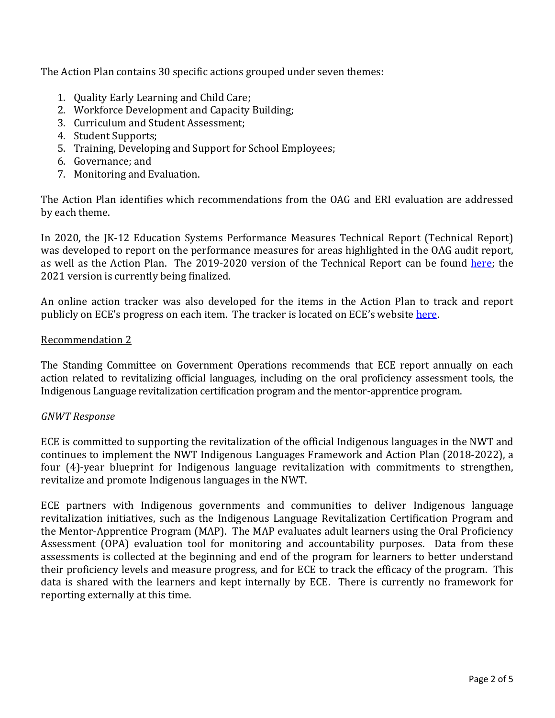The Action Plan contains 30 specific actions grouped under seven themes:

- 1. Quality Early Learning and Child Care;
- 2. Workforce Development and Capacity Building;
- 3. Curriculum and Student Assessment;
- 4. Student Supports;
- 5. Training, Developing and Support for School Employees;
- 6. Governance; and
- 7. Monitoring and Evaluation.

The Action Plan identifies which recommendations from the OAG and ERI evaluation are addressed by each theme.

In 2020, the JK-12 Education Systems Performance Measures Technical Report (Technical Report) was developed to report on the performance measures for areas highlighted in the OAG audit report, as well as the Action Plan. The 2019-2020 version of the Technical Report can be found [here;](https://www.ece.gov.nt.ca/sites/ece/files/resources/final_ed_review_pm_report.pdf) the 2021 version is currently being finalized.

An online action tracker was also developed for the items in the Action Plan to track and report publicly on ECE's progress on each item. The tracker is located on ECE's website [here.](https://www.ece.gov.nt.ca/en/progress-tracker)

### Recommendation 2

The Standing Committee on Government Operations recommends that ECE report annually on each action related to revitalizing official languages, including on the oral proficiency assessment tools, the Indigenous Language revitalization certification program and the mentor-apprentice program.

# *GNWT Response*

ECE is committed to supporting the revitalization of the official Indigenous languages in the NWT and continues to implement the NWT Indigenous Languages Framework and Action Plan (2018-2022), a four (4)-year blueprint for Indigenous language revitalization with commitments to strengthen, revitalize and promote Indigenous languages in the NWT.

ECE partners with Indigenous governments and communities to deliver Indigenous language revitalization initiatives, such as the Indigenous Language Revitalization Certification Program and the Mentor-Apprentice Program (MAP). The MAP evaluates adult learners using the Oral Proficiency Assessment (OPA) evaluation tool for monitoring and accountability purposes. Data from these assessments is collected at the beginning and end of the program for learners to better understand their proficiency levels and measure progress, and for ECE to track the efficacy of the program. This data is shared with the learners and kept internally by ECE. There is currently no framework for reporting externally at this time.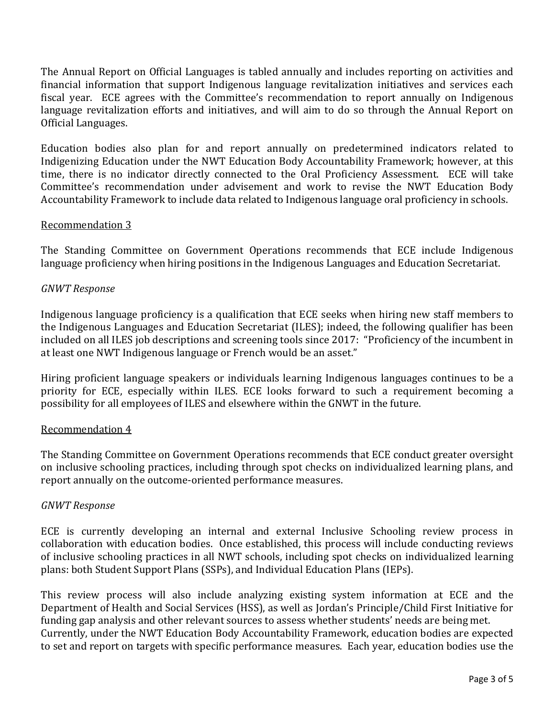The Annual Report on Official Languages is tabled annually and includes reporting on activities and financial information that support Indigenous language revitalization initiatives and services each fiscal year. ECE agrees with the Committee's recommendation to report annually on Indigenous language revitalization efforts and initiatives, and will aim to do so through the Annual Report on Official Languages.

Education bodies also plan for and report annually on predetermined indicators related to Indigenizing Education under the NWT Education Body Accountability Framework; however, at this time, there is no indicator directly connected to the Oral Proficiency Assessment. ECE will take Committee's recommendation under advisement and work to revise the NWT Education Body Accountability Framework to include data related to Indigenous language oral proficiency in schools.

# Recommendation 3

The Standing Committee on Government Operations recommends that ECE include Indigenous language proficiency when hiring positions in the Indigenous Languages and Education Secretariat.

### *GNWT Response*

Indigenous language proficiency is a qualification that ECE seeks when hiring new staff members to the Indigenous Languages and Education Secretariat (ILES); indeed, the following qualifier has been included on all ILES job descriptions and screening tools since 2017: "Proficiency of the incumbent in at least one NWT Indigenous language or French would be an asset."

Hiring proficient language speakers or individuals learning Indigenous languages continues to be a priority for ECE, especially within ILES. ECE looks forward to such a requirement becoming a possibility for all employees of ILES and elsewhere within the GNWT in the future.

#### Recommendation 4

The Standing Committee on Government Operations recommends that ECE conduct greater oversight on inclusive schooling practices, including through spot checks on individualized learning plans, and report annually on the outcome-oriented performance measures.

#### *GNWT Response*

ECE is currently developing an internal and external Inclusive Schooling review process in collaboration with education bodies. Once established, this process will include conducting reviews of inclusive schooling practices in all NWT schools, including spot checks on individualized learning plans: both Student Support Plans (SSPs), and Individual Education Plans (IEPs).

This review process will also include analyzing existing system information at ECE and the Department of Health and Social Services (HSS), as well as Jordan's Principle/Child First Initiative for funding gap analysis and other relevant sources to assess whether students' needs are being met. Currently, under the NWT Education Body Accountability Framework, education bodies are expected to set and report on targets with specific performance measures. Each year, education bodies use the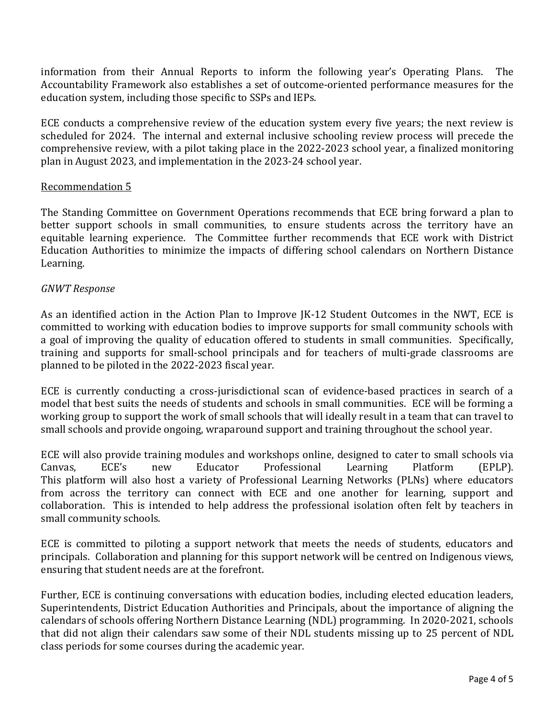information from their Annual Reports to inform the following year's Operating Plans. The Accountability Framework also establishes a set of outcome-oriented performance measures for the education system, including those specific to SSPs and IEPs.

ECE conducts a comprehensive review of the education system every five years; the next review is scheduled for 2024. The internal and external inclusive schooling review process will precede the comprehensive review, with a pilot taking place in the 2022-2023 school year, a finalized monitoring plan in August 2023, and implementation in the 2023-24 school year.

# Recommendation 5

The Standing Committee on Government Operations recommends that ECE bring forward a plan to better support schools in small communities, to ensure students across the territory have an equitable learning experience. The Committee further recommends that ECE work with District Education Authorities to minimize the impacts of differing school calendars on Northern Distance Learning.

### *GNWT Response*

As an identified action in the Action Plan to Improve JK-12 Student Outcomes in the NWT, ECE is committed to working with education bodies to improve supports for small community schools with a goal of improving the quality of education offered to students in small communities. Specifically, training and supports for small-school principals and for teachers of multi-grade classrooms are planned to be piloted in the 2022-2023 fiscal year.

ECE is currently conducting a cross-jurisdictional scan of evidence-based practices in search of a model that best suits the needs of students and schools in small communities. ECE will be forming a working group to support the work of small schools that will ideally result in a team that can travel to small schools and provide ongoing, wraparound support and training throughout the school year.

ECE will also provide training modules and workshops online, designed to cater to small schools via<br>Canvas, ECE's new Educator Professional Learning Platform (EPLP). Canvas, ECE's new Educator Professional Learning Platform (EPLP). This platform will also host a variety of Professional Learning Networks (PLNs) where educators from across the territory can connect with ECE and one another for learning, support and collaboration. This is intended to help address the professional isolation often felt by teachers in small community schools.

ECE is committed to piloting a support network that meets the needs of students, educators and principals. Collaboration and planning for this support network will be centred on Indigenous views, ensuring that student needs are at the forefront.

Further, ECE is continuing conversations with education bodies, including elected education leaders, Superintendents, District Education Authorities and Principals, about the importance of aligning the calendars of schools offering Northern Distance Learning (NDL) programming. In 2020-2021, schools that did not align their calendars saw some of their NDL students missing up to 25 percent of NDL class periods for some courses during the academic year.